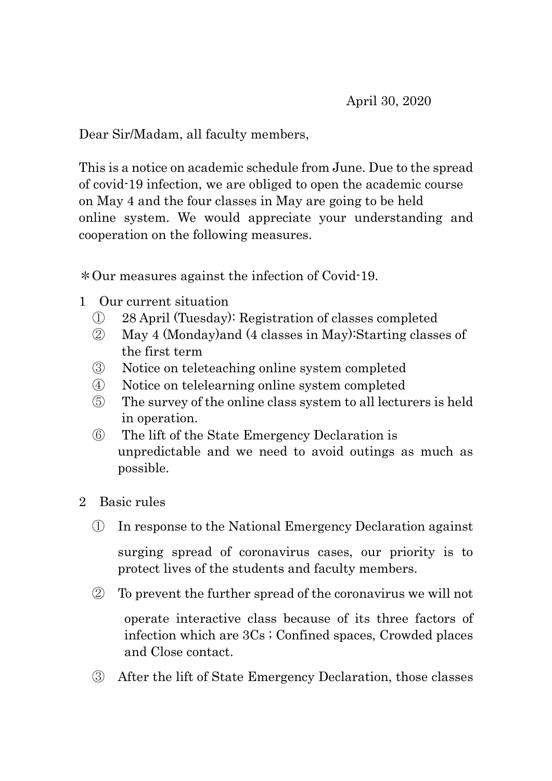Dear Sir/Madam, all faculty members,

This is a notice on academic schedule from June. Due to the spread of covid-19 infection, we are obliged to open the academic course on May 4 and the four classes in May are going to be held online system. We would appreciate your understanding and cooperation on the following measures.

\*Our measures against the infection of Covid-19.

- 1 Our current situation
	- ① 28 April (Tuesday): Registration of classes completed
	- ② May 4 (Monday)and (4 classes in May):Starting classes of the first term
	- ③ Notice on teleteaching online system completed
	- ④ Notice on telelearning online system completed
	- ⑤ The survey of the online class system to all lecturers is held in operation.
	- ⑥ The lift of the State Emergency Declaration is unpredictable and we need to avoid outings as much as possible.
- 2 Basic rules
	- ① In response to the National Emergency Declaration against

surging spread of coronavirus cases, our priority is to protect lives of the students and faculty members.

② To prevent the further spread of the coronavirus we will not

 operate interactive class because of its three factors of infection which are 3Cs ; Confined spaces, Crowded places and Close contact.

③ After the lift of State Emergency Declaration, those classes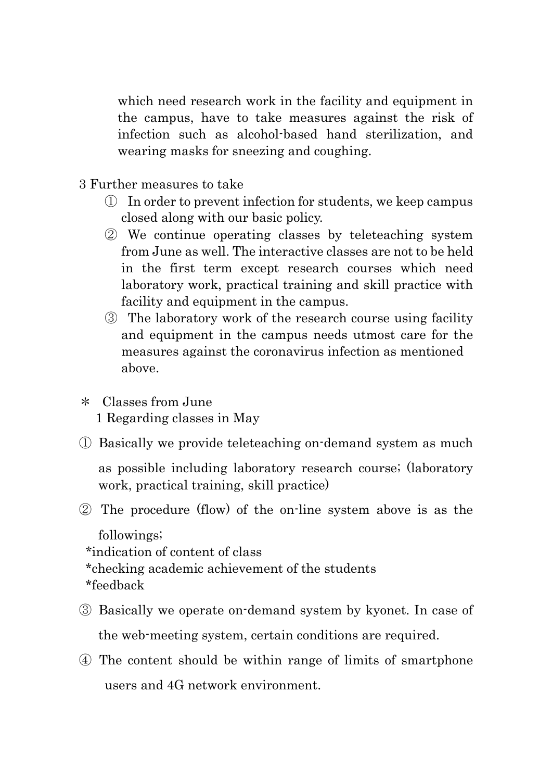which need research work in the facility and equipment in the campus, have to take measures against the risk of infection such as alcohol-based hand sterilization, and wearing masks for sneezing and coughing.

- 3 Further measures to take
	- ① In order to prevent infection for students, we keep campus closed along with our basic policy.
	- ② We continue operating classes by teleteaching system from June as well. The interactive classes are not to be held in the first term except research courses which need laboratory work, practical training and skill practice with facility and equipment in the campus.
	- ③ The laboratory work of the research course using facility and equipment in the campus needs utmost care for the measures against the coronavirus infection as mentioned above.
- \* Classes from June 1 Regarding classes in May
- ① Basically we provide teleteaching on-demand system as much

as possible including laboratory research course; (laboratory work, practical training, skill practice)

② The procedure (flow) of the on-line system above is as the

followings;

- \*indication of content of class
- \*checking academic achievement of the students
- \*feedback
- ③ Basically we operate on-demand system by kyonet. In case of the web-meeting system, certain conditions are required.
- ④ The content should be within range of limits of smartphone users and 4G network environment.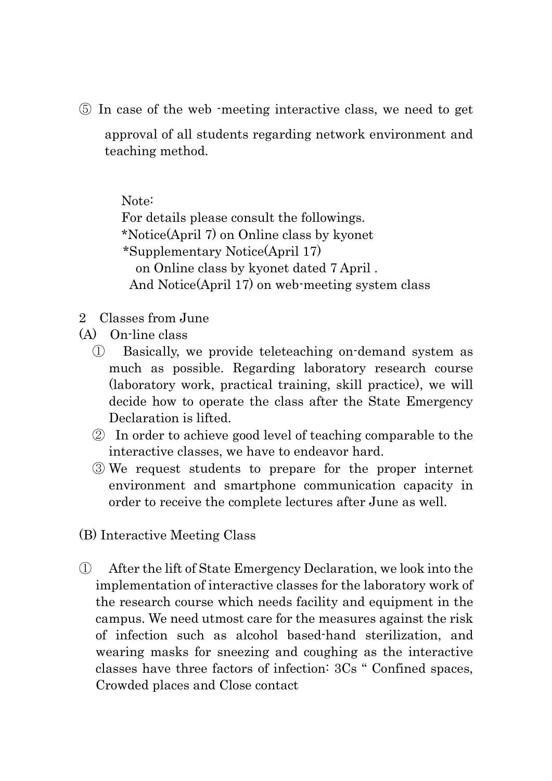⑤ In case of the web -meeting interactive class, we need to get

approval of all students regarding network environment and teaching method.

Note:

For details please consult the followings. \*Notice(April 7) on Online class by kyonet \*Supplementary Notice(April 17) on Online class by kyonet dated 7 April . And Notice(April 17) on web-meeting system class

- 2 Classes from June
- (A) On-line class
	- ① Basically, we provide teleteaching on-demand system as much as possible. Regarding laboratory research course (laboratory work, practical training, skill practice), we will decide how to operate the class after the State Emergency Declaration is lifted.
	- ② In order to achieve good level of teaching comparable to the interactive classes, we have to endeavor hard.
	- ③ We request students to prepare for the proper internet environment and smartphone communication capacity in order to receive the complete lectures after June as well.
- (B) Interactive Meeting Class
- ① After the lift of State Emergency Declaration, we look into the implementation of interactive classes for the laboratory work of the research course which needs facility and equipment in the campus. We need utmost care for the measures against the risk of infection such as alcohol based-hand sterilization, and wearing masks for sneezing and coughing as the interactive classes have three factors of infection: 3Cs " Confined spaces, Crowded places and Close contact